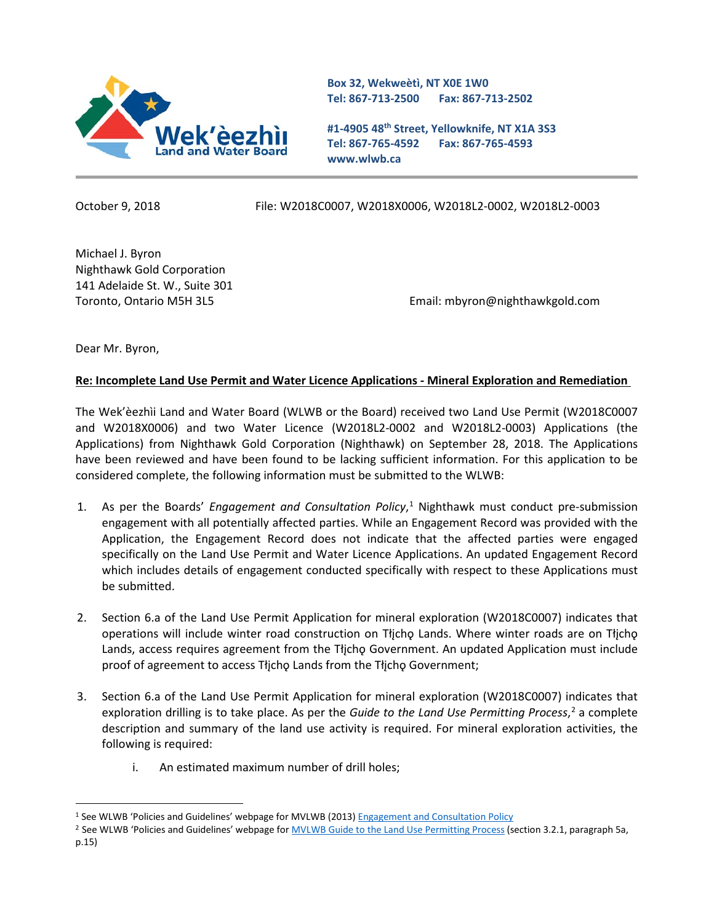

**Box 32, Wekweètì, NT X0E 1W0 Tel: 867-713-2500 Fax: 867-713-2502** 

**#1-4905 48th Street, Yellowknife, NT X1A 3S3 Tel: 867-765-4592 Fax: 867-765-4593 www.wlwb.ca**

October 9, 2018 File: W2018C0007, W2018X0006, W2018L2-0002, W2018L2-0003

Michael J. Byron Nighthawk Gold Corporation 141 Adelaide St. W., Suite 301

Toronto, Ontario M5H 3L5 Email: mbyron@nighthawkgold.com

Dear Mr. Byron,

 $\overline{a}$ 

## **Re: Incomplete Land Use Permit and Water Licence Applications - Mineral Exploration and Remediation**

The Wek'èezhìi Land and Water Board (WLWB or the Board) received two Land Use Permit (W2018C0007 and W2018X0006) and two Water Licence (W2018L2-0002 and W2018L2-0003) Applications (the Applications) from Nighthawk Gold Corporation (Nighthawk) on September 28, 2018. The Applications have been reviewed and have been found to be lacking sufficient information. For this application to be considered complete, the following information must be submitted to the WLWB:

- 1. As per the Boards' *Engagement and Consultation Policy*, [1](#page-0-0) Nighthawk must conduct pre-submission engagement with all potentially affected parties. While an Engagement Record was provided with the Application, the Engagement Record does not indicate that the affected parties were engaged specifically on the Land Use Permit and Water Licence Applications. An updated Engagement Record which includes details of engagement conducted specifically with respect to these Applications must be submitted.
- 2. Section 6.a of the Land Use Permit Application for mineral exploration (W2018C0007) indicates that operations will include winter road construction on Tłįchǫ Lands. Where winter roads are on Tłįchǫ Lands, access requires agreement from the Tłicho Government. An updated Application must include proof of agreement to access Tłįchǫ Lands from the Tłįchǫ Government;
- 3. Section 6.a of the Land Use Permit Application for mineral exploration (W2018C0007) indicates that exploration drilling is to take place. As per the *Guide to the Land Use Permitting Process*, [2](#page-0-1) a complete description and summary of the land use activity is required. For mineral exploration activities, the following is required:
	- i. An estimated maximum number of drill holes;

<span id="page-0-1"></span><sup>2</sup> See WLWB 'Policies and Guidelines' webpage for **MVLWB Guide to the Land Use Permitting Process** (section 3.2.1, paragraph 5a, p.15)

<span id="page-0-0"></span><sup>1</sup> See WLWB 'Policies and Guidelines' webpage for MVLWB (2013[\) Engagement and Consultation Policy](https://mvlwb.com/sites/default/files/documents/wg/MVLWB%20Engagement%20and%20Consultation%20Policy%20-%20May%2015.pdf)